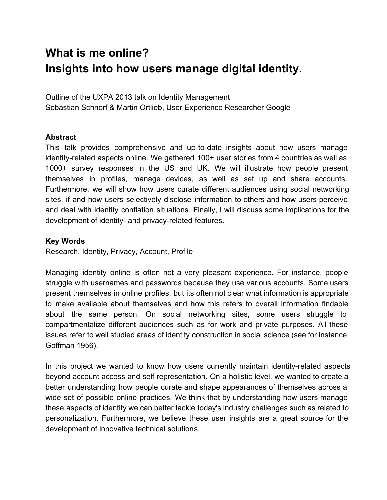# **What is me online? Insights into how users manage digital identity.**

Outline of the UXPA 2013 talk on Identity Management Sebastian Schnorf & Martin Ortlieb, User Experience Researcher Google

# **Abstract**

This talk provides comprehensive and up-to-date insights about how users manage identityrelated aspects online. We gathered 100+ user stories from 4 countries as well as 1000+ survey responses in the US and UK. We will illustrate how people present themselves in profiles, manage devices, as well as set up and share accounts. Furthermore, we will show how users curate different audiences using social networking sites, if and how users selectively disclose information to others and how users perceive and deal with identity conflation situations. Finally, I will discuss some implications for the development of identity- and privacy-related features.

# **Key Words**

Research, Identity, Privacy, Account, Profile

Managing identity online is often not a very pleasant experience. For instance, people struggle with usernames and passwords because they use various accounts. Some users present themselves in online profiles, but its often not clear what information is appropriate to make available about themselves and how this refers to overall information findable about the same person. On social networking sites, some users struggle to compartmentalize different audiences such as for work and private purposes. All these issues refer to well studied areas of identity construction in social science (see for instance Goffman 1956).

In this project we wanted to know how users currently maintain identity-related aspects beyond account access and self representation. On a holistic level, we wanted to create a better understanding how people curate and shape appearances of themselves across a wide set of possible online practices. We think that by understanding how users manage these aspects of identity we can better tackle today's industry challenges such as related to personalization. Furthermore, we believe these user insights are a great source for the development of innovative technical solutions.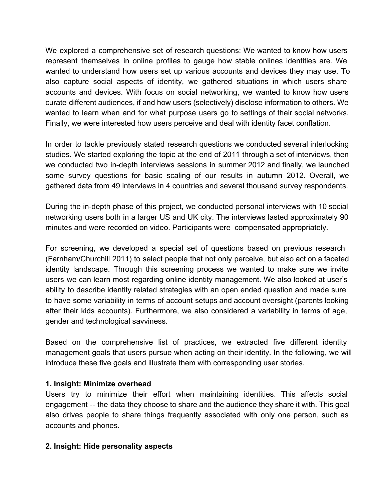We explored a comprehensive set of research questions: We wanted to know how users represent themselves in online profiles to gauge how stable onlines identities are. We wanted to understand how users set up various accounts and devices they may use. To also capture social aspects of identity, we gathered situations in which users share accounts and devices. With focus on social networking, we wanted to know how users curate different audiences, if and how users (selectively) disclose information to others. We wanted to learn when and for what purpose users go to settings of their social networks. Finally, we were interested how users perceive and deal with identity facet conflation.

In order to tackle previously stated research questions we conducted several interlocking studies. We started exploring the topic at the end of 2011 through a set of interviews, then we conducted two in-depth interviews sessions in summer 2012 and finally, we launched some survey questions for basic scaling of our results in autumn 2012. Overall, we gathered data from 49 interviews in 4 countries and several thousand survey respondents.

During the in-depth phase of this project, we conducted personal interviews with 10 social networking users both in a larger US and UK city. The interviews lasted approximately 90 minutes and were recorded on video. Participants were compensated appropriately.

For screening, we developed a special set of questions based on previous research (Farnham/Churchill 2011) to select people that not only perceive, but also act on a faceted identity landscape. Through this screening process we wanted to make sure we invite users we can learn most regarding online identity management. We also looked at user's ability to describe identity related strategies with an open ended question and made sure to have some variability in terms of account setups and account oversight (parents looking after their kids accounts). Furthermore, we also considered a variability in terms of age, gender and technological savviness.

Based on the comprehensive list of practices, we extracted five different identity management goals that users pursue when acting on their identity. In the following, we will introduce these five goals and illustrate them with corresponding user stories.

### **1. Insight: Minimize overhead**

Users try to minimize their effort when maintaining identities. This affects social engagement -- the data they choose to share and the audience they share it with. This goal also drives people to share things frequently associated with only one person, such as accounts and phones.

# **2. Insight: Hide personality aspects**